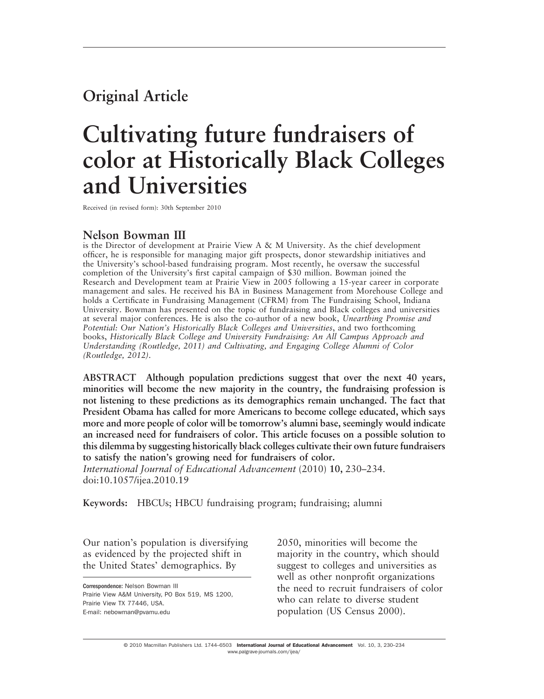## **Original Article**

# **Cultivating future fundraisers of color at Historically Black Colleges and Universities**

Received (in revised form): 30th September 2010

#### **Nelson Bowman III**

is the Director of development at Prairie View A & M University. As the chief development officer, he is responsible for managing major gift prospects, donor stewardship initiatives and the University's school-based fundraising program. Most recently, he oversaw the successful completion of the University's first capital campaign of \$30 million. Bowman joined the Research and Development team at Prairie View in 2005 following a 15-year career in corporate management and sales. He received his BA in Business Management from Morehouse College and holds a Certificate in Fundraising Management (CFRM) from The Fundraising School, Indiana University. Bowman has presented on the topic of fundraising and Black colleges and universities at several major conferences. He is also the co-author of a new book, *Unearthing Promise and Potential: Our Nation's Historically Black Colleges and Universities*, and two forthcoming books, *Historically Black College and University Fundraising: An All Campus Approach and Understanding (Routledge, 2011) and Cultivating, and Engaging College Alumni of Color (Routledge, 2012)* .

**ABSTRACT Although population predictions suggest that over the next 40 years, minorities will become the new majority in the country, the fundraising profession is not listening to these predictions as its demographics remain unchanged. The fact that President Obama has called for more Americans to become college educated, which says more and more people of color will be tomorrow's alumni base, seemingly would indicate an increased need for fundraisers of color. This article focuses on a possible solution to this dilemma by suggesting historically black colleges cultivate their own future fundraisers to satisfy the nation's growing need for fundraisers of color.** 

*International Journal of Educational Advancement* (2010) 10, 230-234. doi: 10.1057/ijea.2010.19

**Keywords:** HBCUs; HBCU fundraising program; fundraising; alumni

Our nation's population is diversifying as evidenced by the projected shift in the United States' demographics. By

Correspondence: Nelson Bowman III Prairie View A&M University, PO Box 519, MS 1200, Prairie View TX 77446, USA. E-mail: nebowman@pvamu.edu

2050, minorities will become the majority in the country, which should suggest to colleges and universities as well as other nonprofit organizations the need to recruit fundraisers of color who can relate to diverse student population (US Census 2000).

www.palgrave-journals.com/ijea/ © 2010 Macmillan Publishers Ltd. 1744–6503 International Journal of Educational Advancement Vol. 10, 3, 230–234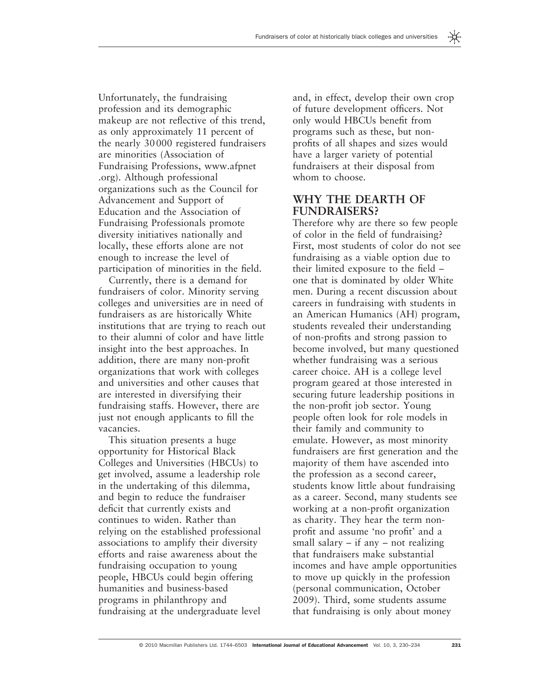Unfortunately, the fundraising profession and its demographic makeup are not reflective of this trend, as only approximately 11 percent of the nearly 30 000 registered fundraisers are minorities (Association of Fundraising Professions, www.afpnet .org). Although professional organizations such as the Council for Advancement and Support of Education and the Association of Fundraising Professionals promote diversity initiatives nationally and locally, these efforts alone are not enough to increase the level of participation of minorities in the field.

Currently, there is a demand for fundraisers of color. Minority serving colleges and universities are in need of fundraisers as are historically White institutions that are trying to reach out to their alumni of color and have little insight into the best approaches. In addition, there are many non-profit organizations that work with colleges and universities and other causes that are interested in diversifying their fundraising staffs. However, there are just not enough applicants to fill the vacancies.

This situation presents a huge opportunity for Historical Black Colleges and Universities (HBCUs) to get involved, assume a leadership role in the undertaking of this dilemma, and begin to reduce the fundraiser deficit that currently exists and continues to widen. Rather than relying on the established professional associations to amplify their diversity efforts and raise awareness about the fundraising occupation to young people, HBCUs could begin offering humanities and business-based programs in philanthropy and fundraising at the undergraduate level

and, in effect, develop their own crop of future development officers. Not only would HBCUs benefit from programs such as these, but nonprofits of all shapes and sizes would have a larger variety of potential fundraisers at their disposal from whom to choose.

#### **WHY THE DEARTH OF FUNDRAISERS?**

Therefore why are there so few people of color in the field of fundraising? First, most students of color do not see fundraising as a viable option due to their limited exposure to the field – one that is dominated by older White men. During a recent discussion about careers in fundraising with students in an American Humanics (AH) program, students revealed their understanding of non-profits and strong passion to become involved, but many questioned whether fundraising was a serious career choice. AH is a college level program geared at those interested in securing future leadership positions in the non-profit job sector. Young people often look for role models in their family and community to emulate. However, as most minority fundraisers are first generation and the majority of them have ascended into the profession as a second career, students know little about fundraising as a career. Second, many students see working at a non-profit organization as charity. They hear the term nonprofit and assume 'no profit' and a small salary  $-$  if any  $-$  not realizing that fundraisers make substantial incomes and have ample opportunities to move up quickly in the profession (personal communication, October 2009). Third, some students assume that fundraising is only about money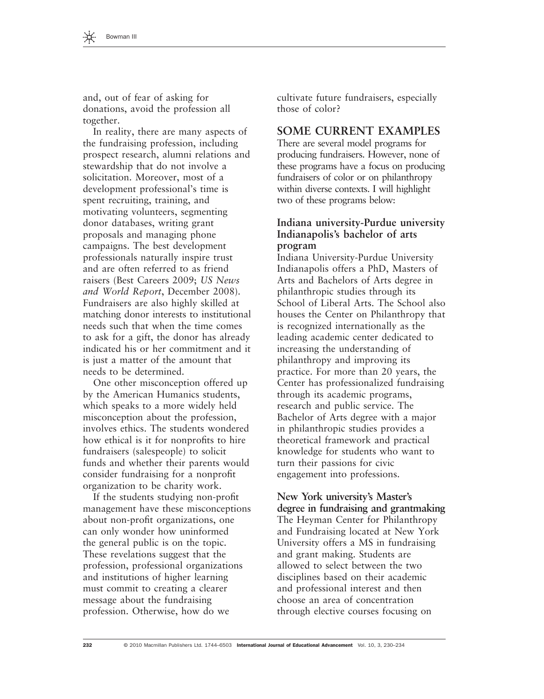and, out of fear of asking for donations, avoid the profession all together.

In reality, there are many aspects of the fundraising profession, including prospect research, alumni relations and stewardship that do not involve a solicitation. Moreover, most of a development professional's time is spent recruiting, training, and motivating volunteers, segmenting donor databases, writing grant proposals and managing phone campaigns. The best development professionals naturally inspire trust and are often referred to as friend raisers (Best Careers 2009; *US News and World Report*, December 2008) . Fundraisers are also highly skilled at matching donor interests to institutional needs such that when the time comes to ask for a gift, the donor has already indicated his or her commitment and it is just a matter of the amount that needs to be determined.

One other misconception offered up by the American Humanics students, which speaks to a more widely held misconception about the profession, involves ethics. The students wondered how ethical is it for nonprofits to hire fundraisers (salespeople) to solicit funds and whether their parents would consider fundraising for a nonprofit organization to be charity work.

If the students studying non-profit management have these misconceptions about non-profit organizations, one can only wonder how uninformed the general public is on the topic. These revelations suggest that the profession, professional organizations and institutions of higher learning must commit to creating a clearer message about the fundraising profession. Otherwise, how do we

cultivate future fundraisers, especially those of color?

#### **SOME CURRENT EXAMPLES**

There are several model programs for producing fundraisers. However, none of these programs have a focus on producing fundraisers of color or on philanthropy within diverse contexts. I will highlight two of these programs below:

#### **Indiana university-Purdue university**  Indianapolis's bachelor of arts **program**

Indiana University-Purdue University Indianapolis offers a PhD, Masters of Arts and Bachelors of Arts degree in philanthropic studies through its School of Liberal Arts. The School also houses the Center on Philanthropy that is recognized internationally as the leading academic center dedicated to increasing the understanding of philanthropy and improving its practice. For more than 20 years, the Center has professionalized fundraising through its academic programs, research and public service. The Bachelor of Arts degree with a major in philanthropic studies provides a theoretical framework and practical knowledge for students who want to turn their passions for civic engagement into professions.

### New York university's Master's

**degree in fundraising and grantmaking**  The Heyman Center for Philanthropy and Fundraising located at New York University offers a MS in fundraising and grant making. Students are allowed to select between the two disciplines based on their academic and professional interest and then choose an area of concentration through elective courses focusing on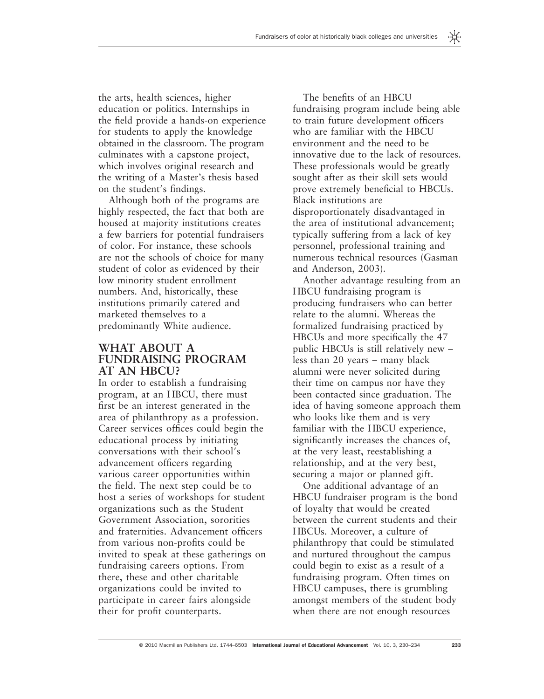the arts, health sciences, higher education or politics. Internships in the field provide a hands-on experience for students to apply the knowledge obtained in the classroom. The program culminates with a capstone project, which involves original research and the writing of a Master's thesis based on the student's findings.

Although both of the programs are highly respected, the fact that both are housed at majority institutions creates a few barriers for potential fundraisers of color. For instance, these schools are not the schools of choice for many student of color as evidenced by their low minority student enrollment numbers. And, historically, these institutions primarily catered and marketed themselves to a predominantly White audience.

#### **WHAT ABOUT A FUNDRAISING PROGRAM AT AN HBCU?**

In order to establish a fundraising program, at an HBCU, there must first be an interest generated in the area of philanthropy as a profession. Career services offices could begin the educational process by initiating conversations with their school's advancement officers regarding various career opportunities within the field. The next step could be to host a series of workshops for student organizations such as the Student Government Association, sororities and fraternities. Advancement officers from various non-profits could be invited to speak at these gatherings on fundraising careers options. From there, these and other charitable organizations could be invited to participate in career fairs alongside their for profit counterparts.

The benefits of an HBCU fundraising program include being able to train future development officers who are familiar with the HBCU environment and the need to be innovative due to the lack of resources. These professionals would be greatly sought after as their skill sets would prove extremely beneficial to HBCUs. Black institutions are disproportionately disadvantaged in the area of institutional advancement; typically suffering from a lack of key personnel, professional training and numerous technical resources (Gasman and Anderson, 2003).

Another advantage resulting from an HBCU fundraising program is producing fundraisers who can better relate to the alumni. Whereas the formalized fundraising practiced by HBCUs and more specifically the 47 public HBCUs is still relatively new – less than 20 years – many black alumni were never solicited during their time on campus nor have they been contacted since graduation. The idea of having someone approach them who looks like them and is very familiar with the HBCU experience, significantly increases the chances of, at the very least, reestablishing a relationship, and at the very best, securing a major or planned gift.

One additional advantage of an HBCU fundraiser program is the bond of loyalty that would be created between the current students and their HBCUs. Moreover, a culture of philanthropy that could be stimulated and nurtured throughout the campus could begin to exist as a result of a fundraising program. Often times on HBCU campuses, there is grumbling amongst members of the student body when there are not enough resources